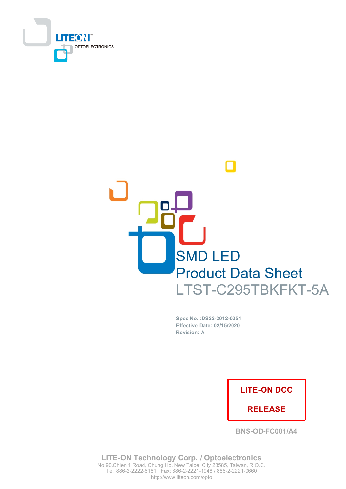



Spec No. : DS22-2012-0251 Effective Date: 02/15/2020 **Revision: A** 

# **LITE-ON DCC**

# **RELEASE**

**BNS-OD-FC001/A4** 

**LITE-ON Technology Corp. / Optoelectronics** No.90, Chien 1 Road, Chung Ho, New Taipei City 23585, Taiwan, R.O.C. Tel: 886-2-2222-6181 Fax: 886-2-2221-1948 / 886-2-2221-0660 http://www.liteon.com/opto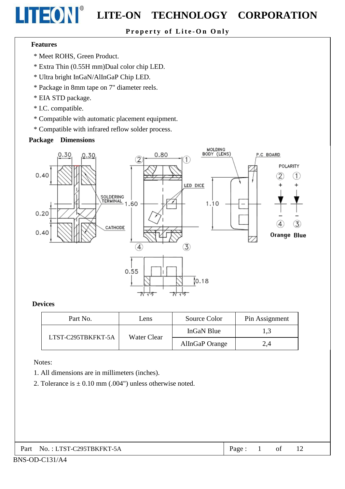# Property of Lite-On Only

#### **Features**

LITEONI®

- \* Meet ROHS, Green Product.
- \* Extra Thin (0.55H mm)Dual color chip LED.
- \* Ultra bright InGaN/AlInGaP Chip LED.
- \* Package in 8mm tape on 7" diameter reels.
- \* EIA STD package.
- \* I.C. compatible.
- \* Compatible with automatic placement equipment.
- \* Compatible with infrared reflow solder process.

## **Package Dimensions**



### **Devices**

| Part No.           | Lens        | Source Color   | Pin Assignment |
|--------------------|-------------|----------------|----------------|
|                    | Water Clear | InGaN Blue     |                |
| LTST-C295TBKFKT-5A |             | AlInGaP Orange | 2.4            |

#### Notes:

- 1. All dimensions are in millimeters (inches).
- 2. Tolerance is  $\pm$  0.10 mm (.004") unless otherwise noted.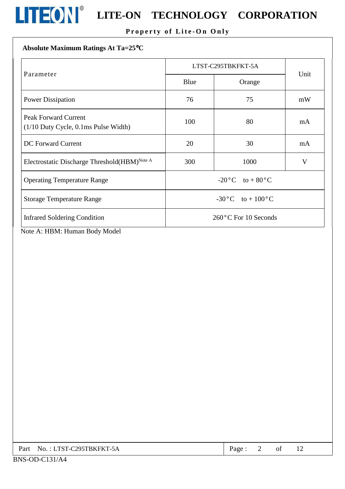

# Property of Lite-On Only

#### Absolute Maximum Ratings At Ta=25°C

|                                                                                                | LTST-C295TBKFKT-5A                         |        |      |  |
|------------------------------------------------------------------------------------------------|--------------------------------------------|--------|------|--|
| Parameter                                                                                      | Blue                                       | Orange | Unit |  |
| <b>Power Dissipation</b>                                                                       | 76                                         | 75     | mW   |  |
| <b>Peak Forward Current</b><br>$(1/10$ Duty Cycle, $0.1$ ms Pulse Width)                       | 100                                        | 80     | mA   |  |
| <b>DC</b> Forward Current                                                                      | 20                                         | 30     | mA   |  |
| Electrostatic Discharge Threshold (HBM) <sup>Note A</sup>                                      | 300                                        | 1000   | V    |  |
| $-20$ °C to + 80°C<br><b>Operating Temperature Range</b>                                       |                                            |        |      |  |
| <b>Storage Temperature Range</b>                                                               | -30 $\,^{\circ}$ C to + 100 $\,^{\circ}$ C |        |      |  |
| <b>Infrared Soldering Condition</b><br>$\mathbf{r}$ a state state in the state of $\mathbf{r}$ | 260°C For 10 Seconds                       |        |      |  |

Note A: HBM: Human Body Model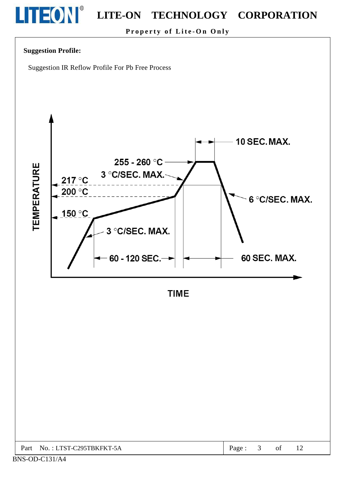

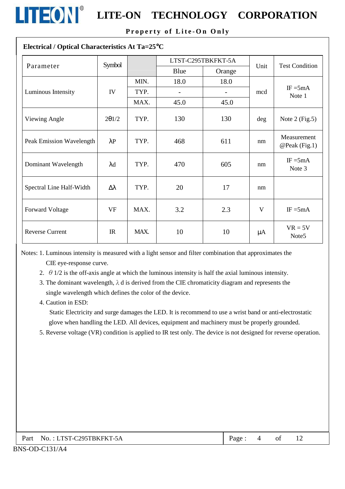

Property of Lite-On Only

| Electrical / Optical Characteristics At Ta=25°C |                  |      |                          |                          |         |                                |  |
|-------------------------------------------------|------------------|------|--------------------------|--------------------------|---------|--------------------------------|--|
| Parameter                                       | Symbol           |      | LTST-C295TBKFKT-5A       |                          | Unit    |                                |  |
|                                                 |                  |      | Blue                     | Orange                   |         | <b>Test Condition</b>          |  |
|                                                 |                  | MIN. | 18.0                     | 18.0                     |         |                                |  |
| Luminous Intensity                              | IV               | TYP. | $\overline{\phantom{0}}$ | $\overline{\phantom{0}}$ | mcd     | $IF = 5mA$<br>Note 1           |  |
|                                                 |                  | MAX. | 45.0                     | 45.0                     |         |                                |  |
| Viewing Angle                                   | $2\theta$ 1/2    | TYP. | 130                      | 130                      | deg     | Note $2$ (Fig.5)               |  |
| Peak Emission Wavelength                        | $\lambda$ P      | TYP. | 468                      | 611                      | nm      | Measurement<br>@Peak (Fig.1)   |  |
| Dominant Wavelength                             | $\lambda$ d      | TYP. | 470                      | 605                      | nm      | $IF = 5mA$<br>Note 3           |  |
| Spectral Line Half-Width                        | $\Delta \lambda$ | TYP. | 20                       | 17                       | nm      |                                |  |
| <b>Forward Voltage</b>                          | <b>VF</b>        | MAX. | 3.2                      | 2.3                      | V       | $IF = 5mA$                     |  |
| <b>Reverse Current</b>                          | IR               | MAX. | 10                       | 10                       | $\mu A$ | $VR = 5V$<br>Note <sub>5</sub> |  |

Notes: 1. Luminous intensity is measured with a light sensor and filter combination that approximates the CIE eye-response curve.

2.  $\theta$  1/2 is the off-axis angle at which the luminous intensity is half the axial luminous intensity.

3. The dominant wavelength,  $\lambda$  d is derived from the CIE chromaticity diagram and represents the single wavelength which defines the color of the device.

4. Caution in ESD:

LITEON®

Static Electricity and surge damages the LED. It is recommend to use a wrist band or anti-electrostatic glove when handling the LED. All devices, equipment and machinery must be properly grounded.

5. Reverse voltage (VR) condition is applied to IR test only. The device is not designed for reverse operation.

|  | Part No.: LTST-C295TBKFKT-5A |
|--|------------------------------|
|--|------------------------------|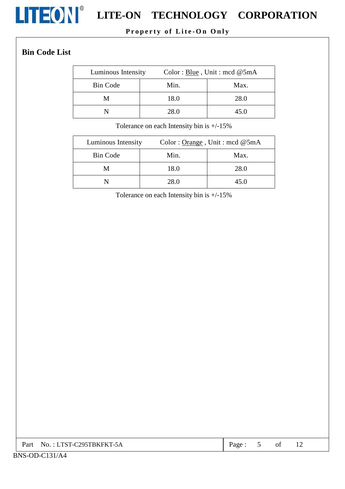

**LITEON**<sup>®</sup> LITE-ON TECHNOLOGY CORPORATION

# Property of Lite-On Only

# **Bin Code List**

| Luminous Intensity |      | Color: $Blue$ , Unit: mcd @5mA |
|--------------------|------|--------------------------------|
| <b>Bin Code</b>    | Min. | Max.                           |
|                    | 18.0 | 28.0                           |
|                    | 28.0 | 45.0                           |

Tolerance on each Intensity bin is  $+/-15\%$ 

| Luminous Intensity |      | Color: <u>Orange</u> , Unit: med @5mA |
|--------------------|------|---------------------------------------|
| <b>Bin Code</b>    | Min. | Max.                                  |
| М                  | 18.0 | 28.0                                  |
|                    | 28.0 | 45.0                                  |

Tolerance on each Intensity bin is  $+/-15\%$ 

| Part No.: LTST-C295TBKFKT-5A |  |
|------------------------------|--|
|                              |  |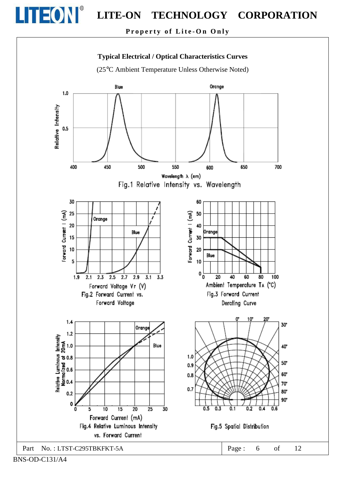Property of Lite-On Only



BNS-OD-C131/A4

LITEON®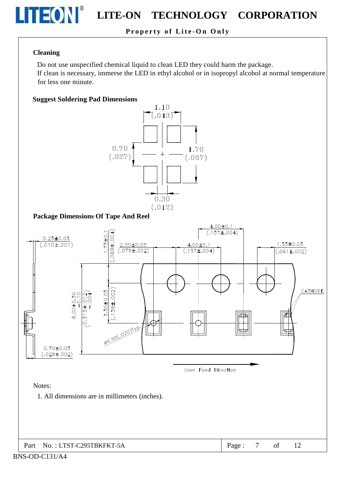

Property of Lite-On Only

#### **Cleaning**

**TEON®** 

Do not use unspecified chemical liquid to clean LED they could harm the package. If clean is necessary, immerse the LED in ethyl alcohol or in isopropyl alcohol at normal temperature for less one minute.





**Package Dimensions Of Tape And Reel** 

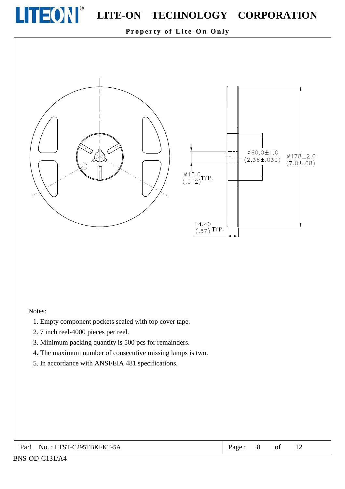

Property of Lite-On Only



Notes:

- 1. Empty component pockets sealed with top cover tape.
- 2.7 inch reel-4000 pieces per reel.
- 3. Minimum packing quantity is 500 pcs for remainders.
- 4. The maximum number of consecutive missing lamps is two.
- 5. In accordance with ANSI/EIA 481 specifications.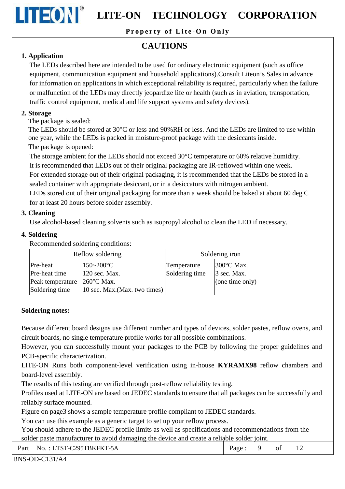Property of Lite-On Only

# **CAUTIONS**

## 1. Application

LITEON®

The LEDs described here are intended to be used for ordinary electronic equipment (such as office equipment, communication equipment and household applications). Consult Liteon's Sales in advance for information on applications in which exceptional reliability is required, particularly when the failure or malfunction of the LEDs may directly jeopardize life or health (such as in aviation, transportation, traffic control equipment, medical and life support systems and safety devices).

## 2. Storage

The package is sealed:

The LEDs should be stored at  $30^{\circ}$ C or less and  $90\%$ RH or less. And the LEDs are limited to use within one year, while the LEDs is packed in moisture-proof package with the desiccants inside.

The package is opened:

The storage ambient for the LEDs should not exceed 30°C temperature or 60% relative humidity.

It is recommended that LEDs out of their original packaging are IR-reflowed within one week.

For extended storage out of their original packaging, it is recommended that the LEDs be stored in a sealed container with appropriate desiccant, or in a desiccators with nitrogen ambient.

LEDs stored out of their original packaging for more than a week should be baked at about 60 deg C for at least 20 hours before solder assembly.

## 3. Cleaning

Use alcohol-based cleaning solvents such as isopropyl alcohol to clean the LED if necessary.

## 4. Soldering

Recommended soldering conditions:

|                                                             | Reflow soldering | Soldering iron |                      |  |
|-------------------------------------------------------------|------------------|----------------|----------------------|--|
| Pre-heat                                                    | $150 - 200$ °C   | Temperature    | $300^{\circ}$ C Max. |  |
| Pre-heat time<br>120 sec. Max.                              |                  | Soldering time | 3 sec. Max.          |  |
| $260^{\circ}$ C Max.<br>Peak temperature                    |                  |                | (one time only)      |  |
| Soldering time<br>$ 10 \text{ sec. } Max.(Max. two times) $ |                  |                |                      |  |

### **Soldering notes:**

Because different board designs use different number and types of devices, solder pastes, reflow ovens, and circuit boards, no single temperature profile works for all possible combinations.

However, you can successfully mount your packages to the PCB by following the proper guidelines and PCB-specific characterization.

LITE-ON Runs both component-level verification using in-house **KYRAMX98** reflow chambers and board-level assembly.

The results of this testing are verified through post-reflow reliability testing.

Profiles used at LITE-ON are based on JEDEC standards to ensure that all packages can be successfully and reliably surface mounted.

Figure on page3 shows a sample temperature profile compliant to JEDEC standards.

You can use this example as a generic target to set up your reflow process.

You should adhere to the JEDEC profile limits as well as specifications and recommendations from the solder paste manufacturer to avoid damaging the device and create a reliable solder joint.

|  | Part No.: LTST-C295TBKFKT-5A | Page: |  |  |  |
|--|------------------------------|-------|--|--|--|
|--|------------------------------|-------|--|--|--|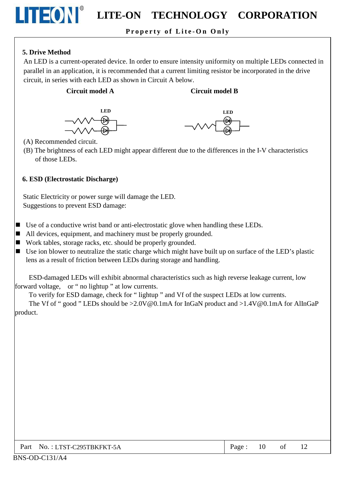# Property of Lite-On Only

# 5. Drive Method

An LED is a current-operated device. In order to ensure intensity uniformity on multiple LEDs connected in parallel in an application, it is recommended that a current limiting resistor be incorporated in the drive circuit, in series with each LED as shown in Circuit A below.

#### **Circuit model A**

#### **Circuit model B**



- (A) Recommended circuit.
- (B) The brightness of each LED might appear different due to the differences in the I-V characteristics of those LEDs.

### 6. ESD (Electrostatic Discharge)

Static Electricity or power surge will damage the LED. Suggestions to prevent ESD damage:

- $\blacksquare$  Use of a conductive wrist band or anti-electrostatic glove when handling these LEDs.
- All devices, equipment, and machinery must be properly grounded.
- Work tables, storage racks, etc. should be properly grounded.
- Use ion blower to neutralize the static charge which might have built up on surface of the LED's plastic lens as a result of friction between LEDs during storage and handling.

ESD-damaged LEDs will exhibit abnormal characteristics such as high reverse leakage current, low forward voltage, or " no lightup " at low currents.

To verify for ESD damage, check for "lightup" and Vf of the suspect LEDs at low currents.

The Vf of "good" LEDs should be >2.0V@0.1mA for InGaN product and >1.4V@0.1mA for AlInGaP product.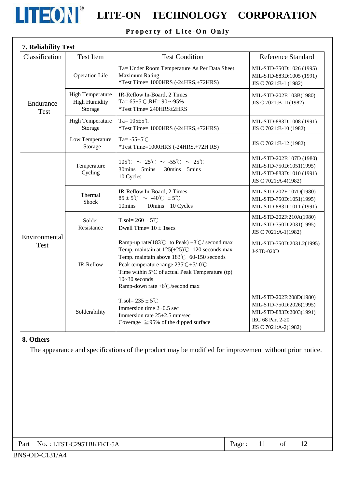

**LITEON**<sup>®</sup> LITE-ON TECHNOLOGY CORPORATION

# Property of Lite-On Only

| <b>7. Reliability Test</b> |                                                            |                                                                                                                                                                                                                                                                                                                                                      |                                                                                                                                  |  |  |  |
|----------------------------|------------------------------------------------------------|------------------------------------------------------------------------------------------------------------------------------------------------------------------------------------------------------------------------------------------------------------------------------------------------------------------------------------------------------|----------------------------------------------------------------------------------------------------------------------------------|--|--|--|
| Classification             | <b>Test Item</b>                                           | <b>Test Condition</b>                                                                                                                                                                                                                                                                                                                                | <b>Reference Standard</b>                                                                                                        |  |  |  |
| Endurance<br>Test          | <b>Operation Life</b>                                      | Ta= Under Room Temperature As Per Data Sheet<br><b>Maximum Rating</b><br>*Test Time= 1000HRS (-24HRS,+72HRS)                                                                                                                                                                                                                                         | MIL-STD-750D:1026 (1995)<br>MIL-STD-883D:1005 (1991)<br>JIS C 7021:B-1 (1982)                                                    |  |  |  |
|                            | <b>High Temperature</b><br><b>High Humidity</b><br>Storage | IR-Reflow In-Board, 2 Times<br>Ta= $65\pm5^{\circ}$ C, RH= $90\sim95\%$<br>*Test Time= 240HRS±2HRS                                                                                                                                                                                                                                                   | MIL-STD-202F:103B(1980)<br>JIS C 7021:B-11(1982)                                                                                 |  |  |  |
|                            | <b>High Temperature</b><br>Storage                         | Ta= $105 \pm 5^{\circ}$ C<br>*Test Time= $1000HRS$ (-24HRS,+72HRS)                                                                                                                                                                                                                                                                                   | MIL-STD-883D:1008 (1991)<br>JIS C 7021:B-10 (1982)                                                                               |  |  |  |
|                            | Low Temperature<br>Storage                                 | Ta= $-55\pm5^{\circ}$ C<br>*Test Time=1000HRS (-24HRS,+72H RS)                                                                                                                                                                                                                                                                                       | JIS C 7021:B-12 (1982)                                                                                                           |  |  |  |
|                            | Temperature<br>Cycling                                     | $105^{\circ}$ C ~ 25°C ~ -55°C ~ 25°C<br>30mins 5mins<br>30mins 5mins<br>10 Cycles                                                                                                                                                                                                                                                                   | MIL-STD-202F:107D (1980)<br>MIL-STD-750D:1051(1995)<br>MIL-STD-883D:1010 (1991)<br>JIS C 7021:A-4(1982)                          |  |  |  |
|                            | Thermal<br>Shock                                           | IR-Reflow In-Board, 2 Times<br>$85 \pm 5^{\circ}$ C ~ -40 $^{\circ}$ C $\pm 5^{\circ}$ C<br>10mins<br>10mins 10 Cycles                                                                                                                                                                                                                               | MIL-STD-202F:107D(1980)<br>MIL-STD-750D:1051(1995)<br>MIL-STD-883D:1011 (1991)                                                   |  |  |  |
| Environmental              | Solder<br>Resistance                                       | T.sol= $260 \pm 5^{\circ}$ C<br>Dwell Time= $10 \pm 1$ secs                                                                                                                                                                                                                                                                                          | MIL-STD-202F:210A(1980)<br>MIL-STD-750D:2031(1995)<br>JIS C 7021:A-1(1982)                                                       |  |  |  |
| <b>Test</b>                | IR-Reflow                                                  | Ramp-up rate(183°C to Peak) +3°C/ second max<br>Temp. maintain at $125(\pm 25)$ °C 120 seconds max<br>Temp. maintain above 183°C 60-150 seconds<br>Peak temperature range $235^{\circ}\text{C} + 5/-0^{\circ}\text{C}$<br>Time within $5^{\circ}$ C of actual Peak Temperature (tp)<br>$10 - 30$ seconds<br>Ramp-down rate $+6^{\circ}$ C/second max | MIL-STD-750D:2031.2(1995)<br>J-STD-020D                                                                                          |  |  |  |
|                            | Solderability                                              | T.sol= $235 \pm 5^{\circ}$ C<br>Immersion time $2\pm 0.5$ sec<br>Immersion rate $25\pm2.5$ mm/sec<br>Coverage $\geq$ 95% of the dipped surface                                                                                                                                                                                                       | MIL-STD-202F:208D(1980)<br>MIL-STD-750D:2026(1995)<br>MIL-STD-883D:2003(1991)<br><b>IEC 68 Part 2-20</b><br>JIS C 7021:A-2(1982) |  |  |  |

#### 8. Others

The appearance and specifications of the product may be modified for improvement without prior notice.

Page: 11

of 12